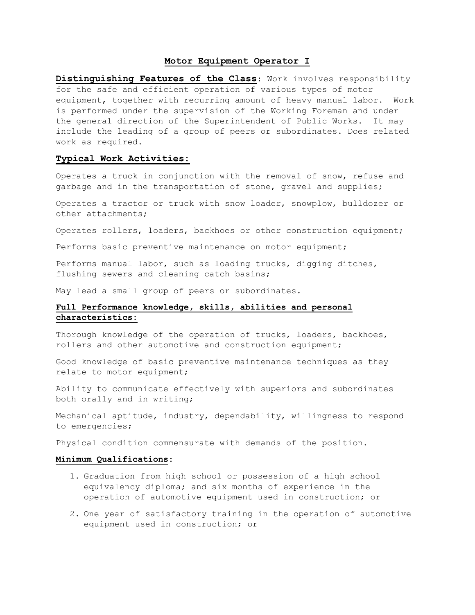### **Motor Equipment Operator I**

**Distinguishing Features of the Class**: Work involves responsibility for the safe and efficient operation of various types of motor equipment, together with recurring amount of heavy manual labor. Work is performed under the supervision of the Working Foreman and under the general direction of the Superintendent of Public Works. It may include the leading of a group of peers or subordinates. Does related work as required.

### **Typical Work Activities:**

Operates a truck in conjunction with the removal of snow, refuse and garbage and in the transportation of stone, gravel and supplies;

Operates a tractor or truck with snow loader, snowplow, bulldozer or other attachments;

Operates rollers, loaders, backhoes or other construction equipment;

Performs basic preventive maintenance on motor equipment;

Performs manual labor, such as loading trucks, digging ditches, flushing sewers and cleaning catch basins;

May lead a small group of peers or subordinates.

# **Full Performance knowledge, skills, abilities and personal characteristics:**

Thorough knowledge of the operation of trucks, loaders, backhoes, rollers and other automotive and construction equipment;

Good knowledge of basic preventive maintenance techniques as they relate to motor equipment;

Ability to communicate effectively with superiors and subordinates both orally and in writing;

Mechanical aptitude, industry, dependability, willingness to respond to emergencies;

Physical condition commensurate with demands of the position.

### **Minimum Qualifications**:

- 1. Graduation from high school or possession of a high school equivalency diploma; and six months of experience in the operation of automotive equipment used in construction; or
- 2. One year of satisfactory training in the operation of automotive equipment used in construction; or